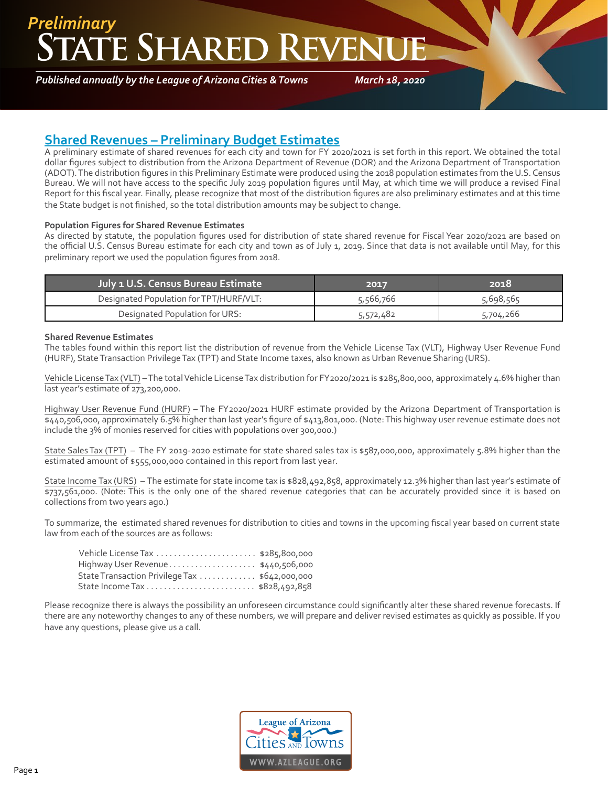## **TE SHARED REVEN** *Preliminary*

*Published annually by the League of Arizona Cities & Towns*

*March 18, 2020*

### **Shared Revenues – Preliminary Budget Estimates**

A preliminary estimate of shared revenues for each city and town for FY 2020/2021 is set forth in this report. We obtained the total dollar figures subject to distribution from the Arizona Department of Revenue (DOR) and the Arizona Department of Transportation (ADOT). The distribution figures in this Preliminary Estimate were produced using the 2018 population estimates from the U.S. Census Bureau. We will not have access to the specific July 2019 population figures until May, at which time we will produce a revised Final Report for this fiscal year. Finally, please recognize that most of the distribution figures are also preliminary estimates and at this time the State budget is not finished, so the total distribution amounts may be subject to change.

#### **Population Figures for Shared Revenue Estimates**

As directed by statute, the population figures used for distribution of state shared revenue for Fiscal Year 2020/2021 are based on the official U.S. Census Bureau estimate for each city and town as of July 1, 2019. Since that data is not available until May, for this preliminary report we used the population figures from 2018.

| July 1 U.S. Census Bureau Estimate      | 2017      | 2018      |
|-----------------------------------------|-----------|-----------|
| Designated Population for TPT/HURF/VLT: | 5,566,766 | 5,698,565 |
| Designated Population for URS:          | 5,572,482 | 5,704,266 |

#### **Shared Revenue Estimates**

The tables found within this report list the distribution of revenue from the Vehicle License Tax (VLT), Highway User Revenue Fund (HURF), State Transaction Privilege Tax (TPT) and State Income taxes, also known as Urban Revenue Sharing (URS).

Vehicle License Tax (VLT) – The total Vehicle License Tax distribution for FY2020/2021 is \$285,800,000, approximately 4.6% higher than last year's estimate of 273,200,000.

Highway User Revenue Fund (HURF) – The FY2020/2021 HURF estimate provided by the Arizona Department of Transportation is \$440,506,000, approximately 6.5% higher than last year's figure of \$413,801,000. (Note: This highway user revenue estimate does not include the 3% of monies reserved for cities with populations over 300,000.)

State Sales Tax (TPT) – The FY 2019-2020 estimate for state shared sales tax is \$587,000,000, approximately 5.8% higher than the estimated amount of \$555,000,000 contained in this report from last year.

State Income Tax (URS) – The estimate for state income tax is \$828,492,858, approximately 12.3% higher than last year's estimate of \$737,561,000. (Note: This is the only one of the shared revenue categories that can be accurately provided since it is based on collections from two years ago.)

To summarize, the estimated shared revenues for distribution to cities and towns in the upcoming fiscal year based on current state law from each of the sources are as follows:

| Vehicle License Tax  \$285,800,000             |  |
|------------------------------------------------|--|
| Highway User Revenue\$440,506,000              |  |
| State Transaction Privilege Tax  \$642,000,000 |  |
|                                                |  |

Please recognize there is always the possibility an unforeseen circumstance could significantly alter these shared revenue forecasts. If there are any noteworthy changes to any of these numbers, we will prepare and deliver revised estimates as quickly as possible. If you have any questions, please give us a call.

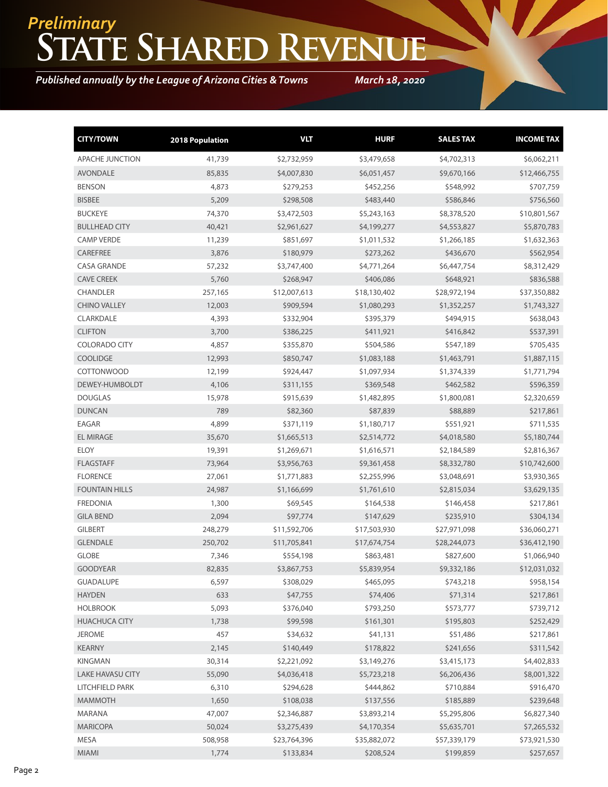## **State Shared Revenue** *Preliminary*

*Published annually by the League of Arizona Cities & Towns*

*March 18, 2020*

| <b>CITY/TOWN</b>        | 2018 Population | <b>VLT</b>   | <b>HURF</b>  | <b>SALES TAX</b> | <b>INCOME TAX</b> |
|-------------------------|-----------------|--------------|--------------|------------------|-------------------|
| <b>APACHE JUNCTION</b>  | 41,739          | \$2,732,959  | \$3,479,658  | \$4,702,313      | \$6,062,211       |
| <b>AVONDALE</b>         | 85,835          | \$4,007,830  | \$6,051,457  | \$9,670,166      | \$12,466,755      |
| <b>BENSON</b>           | 4,873           | \$279,253    | \$452,256    | \$548,992        | \$707,759         |
| <b>BISBEE</b>           | 5,209           | \$298,508    | \$483,440    | \$586,846        | \$756,560         |
| <b>BUCKEYE</b>          | 74,370          | \$3,472,503  | \$5,243,163  | \$8,378,520      | \$10,801,567      |
| <b>BULLHEAD CITY</b>    | 40,421          | \$2,961,627  | \$4,199,277  | \$4,553,827      | \$5,870,783       |
| <b>CAMP VERDE</b>       | 11,239          | \$851,697    | \$1,011,532  | \$1,266,185      | \$1,632,363       |
| CAREFREE                | 3,876           | \$180,979    | \$273,262    | \$436,670        | \$562,954         |
| <b>CASA GRANDE</b>      | 57,232          | \$3,747,400  | \$4,771,264  | \$6,447,754      | \$8,312,429       |
| <b>CAVE CREEK</b>       | 5,760           | \$268,947    | \$406,086    | \$648,921        | \$836,588         |
| <b>CHANDLER</b>         | 257,165         | \$12,007,613 | \$18,130,402 | \$28,972,194     | \$37,350,882      |
| <b>CHINO VALLEY</b>     | 12,003          | \$909,594    | \$1,080,293  | \$1,352,257      | \$1,743,327       |
| CLARKDALE               | 4,393           | \$332,904    | \$395,379    | \$494,915        | \$638,043         |
| <b>CLIFTON</b>          | 3,700           | \$386,225    | \$411,921    | \$416,842        | \$537,391         |
| <b>COLORADO CITY</b>    | 4,857           | \$355,870    | \$504,586    | \$547,189        | \$705,435         |
| <b>COOLIDGE</b>         | 12,993          | \$850,747    | \$1,083,188  | \$1,463,791      | \$1,887,115       |
| <b>COTTONWOOD</b>       | 12,199          | \$924,447    | \$1,097,934  | \$1,374,339      | \$1,771,794       |
| DEWEY-HUMBOLDT          | 4,106           | \$311,155    | \$369,548    | \$462,582        | \$596,359         |
| <b>DOUGLAS</b>          | 15,978          | \$915,639    | \$1,482,895  | \$1,800,081      | \$2,320,659       |
| <b>DUNCAN</b>           | 789             | \$82,360     | \$87,839     | \$88,889         | \$217,861         |
| <b>EAGAR</b>            | 4,899           | \$371,119    | \$1,180,717  | \$551,921        | \$711,535         |
| <b>EL MIRAGE</b>        | 35,670          | \$1,665,513  | \$2,514,772  | \$4,018,580      | \$5,180,744       |
| <b>ELOY</b>             | 19,391          | \$1,269,671  | \$1,616,571  | \$2,184,589      | \$2,816,367       |
| <b>FLAGSTAFF</b>        | 73,964          | \$3,956,763  | \$9,361,458  | \$8,332,780      | \$10,742,600      |
| <b>FLORENCE</b>         | 27,061          | \$1,771,883  | \$2,255,996  | \$3,048,691      | \$3,930,365       |
| <b>FOUNTAIN HILLS</b>   | 24,987          | \$1,166,699  | \$1,761,610  | \$2,815,034      | \$3,629,135       |
| <b>FREDONIA</b>         | 1,300           | \$69,545     | \$164,538    | \$146,458        | \$217,861         |
| <b>GILA BEND</b>        | 2,094           | \$97,774     | \$147,629    | \$235,910        | \$304,134         |
| <b>GILBERT</b>          | 248,279         | \$11,592,706 | \$17,503,930 | \$27,971,098     | \$36,060,271      |
| <b>GLENDALE</b>         | 250,702         | \$11,705,841 | \$17,674,754 | \$28,244,073     | \$36,412,190      |
| <b>GLOBE</b>            | 7,346           | \$554,198    | \$863,481    | \$827,600        | \$1,066,940       |
| <b>GOODYEAR</b>         | 82,835          | \$3,867,753  | \$5,839,954  | \$9,332,186      | \$12,031,032      |
| <b>GUADALUPE</b>        | 6,597           | \$308,029    | \$465,095    | \$743,218        | \$958,154         |
| <b>HAYDEN</b>           | 633             | \$47,755     | \$74,406     | \$71,314         | \$217,861         |
| <b>HOLBROOK</b>         | 5,093           | \$376,040    | \$793,250    | \$573,777        | \$739,712         |
| <b>HUACHUCA CITY</b>    | 1,738           | \$99,598     | \$161,301    | \$195,803        | \$252,429         |
| <b>JEROME</b>           | 457             | \$34,632     | \$41,131     | \$51,486         | \$217,861         |
| <b>KEARNY</b>           | 2,145           | \$140,449    | \$178,822    | \$241,656        | \$311,542         |
| <b>KINGMAN</b>          | 30,314          | \$2,221,092  | \$3,149,276  | \$3,415,173      | \$4,402,833       |
| <b>LAKE HAVASU CITY</b> | 55,090          | \$4,036,418  | \$5,723,218  | \$6,206,436      | \$8,001,322       |
| LITCHFIELD PARK         | 6,310           | \$294,628    | \$444,862    | \$710,884        | \$916,470         |
| <b>MAMMOTH</b>          | 1,650           | \$108,038    | \$137,556    | \$185,889        | \$239,648         |
| MARANA                  | 47,007          | \$2,346,887  | \$3,893,214  | \$5,295,806      | \$6,827,340       |
| <b>MARICOPA</b>         | 50,024          | \$3,275,439  | \$4,170,354  | \$5,635,701      | \$7,265,532       |
| MESA                    | 508,958         | \$23,764,396 | \$35,882,072 | \$57,339,179     | \$73,921,530      |
| MIAMI                   | 1,774           | \$133,834    | \$208,524    | \$199,859        | \$257,657         |